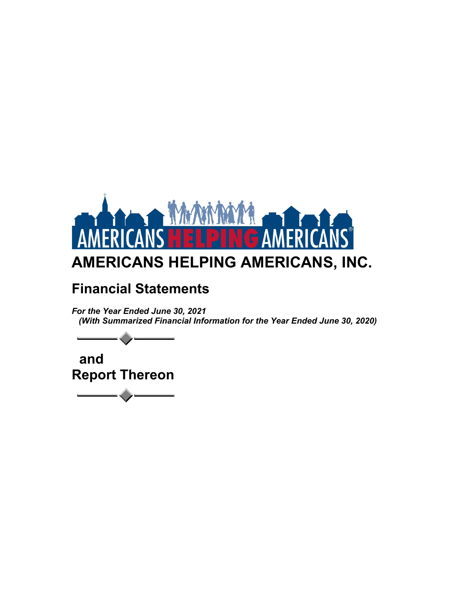

# **Financial Statements**

*For the Year Ended June 30, 2021 (With Summarized Financial Information for the Year Ended June 30, 2020)* 

 **and Report Thereon**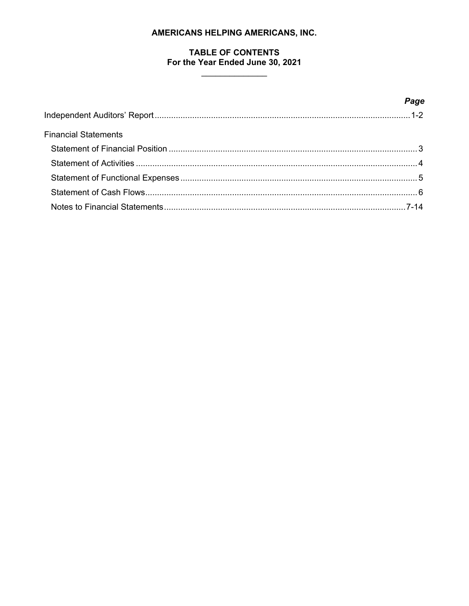# **TABLE OF CONTENTS** For the Year Ended June 30, 2021

|                             | Page |
|-----------------------------|------|
|                             |      |
| <b>Financial Statements</b> |      |
|                             |      |
|                             |      |
|                             |      |
|                             |      |
|                             |      |
|                             |      |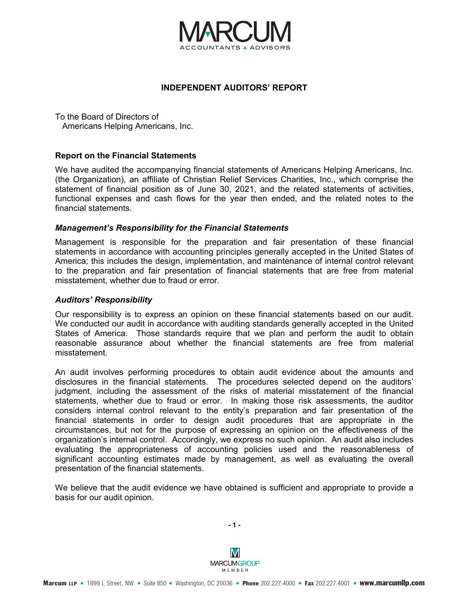

#### **INDEPENDENT AUDITORS' REPORT**

To the Board of Directors of Americans Helping Americans, Inc.

#### **Report on the Financial Statements**

We have audited the accompanying financial statements of Americans Helping Americans, Inc. (the Organization), an affiliate of Christian Relief Services Charities, Inc., which comprise the statement of financial position as of June 30, 2021, and the related statements of activities, functional expenses and cash flows for the year then ended, and the related notes to the financial statements.

#### *Management's Responsibility for the Financial Statements*

Management is responsible for the preparation and fair presentation of these financial statements in accordance with accounting principles generally accepted in the United States of America; this includes the design, implementation, and maintenance of internal control relevant to the preparation and fair presentation of financial statements that are free from material misstatement, whether due to fraud or error.

#### *Auditors' Responsibility*

Our responsibility is to express an opinion on these financial statements based on our audit. We conducted our audit in accordance with auditing standards generally accepted in the United States of America. Those standards require that we plan and perform the audit to obtain reasonable assurance about whether the financial statements are free from material misstatement.

An audit involves performing procedures to obtain audit evidence about the amounts and disclosures in the financial statements. The procedures selected depend on the auditors' judgment, including the assessment of the risks of material misstatement of the financial statements, whether due to fraud or error. In making those risk assessments, the auditor considers internal control relevant to the entity's preparation and fair presentation of the financial statements in order to design audit procedures that are appropriate in the circumstances, but not for the purpose of expressing an opinion on the effectiveness of the organization's internal control. Accordingly, we express no such opinion. An audit also includes evaluating the appropriateness of accounting policies used and the reasonableness of significant accounting estimates made by management, as well as evaluating the overall presentation of the financial statements.

We believe that the audit evidence we have obtained is sufficient and appropriate to provide a basis for our audit opinion.

**- 1 -** 

M **MARCUMGROUP** MEMBER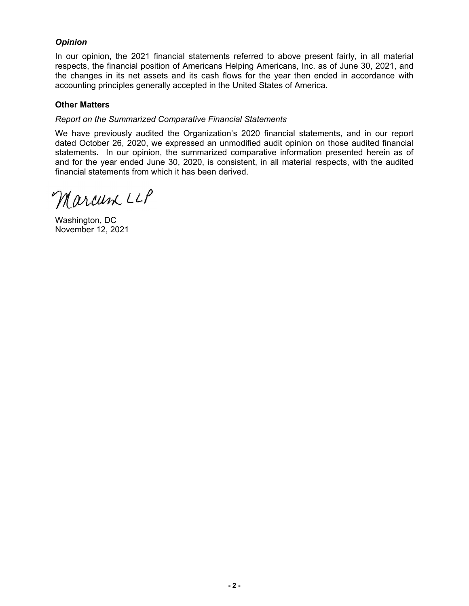# *Opinion*

In our opinion, the 2021 financial statements referred to above present fairly, in all material respects, the financial position of Americans Helping Americans, Inc. as of June 30, 2021, and the changes in its net assets and its cash flows for the year then ended in accordance with accounting principles generally accepted in the United States of America.

## **Other Matters**

### *Report on the Summarized Comparative Financial Statements*

We have previously audited the Organization's 2020 financial statements, and in our report dated October 26, 2020, we expressed an unmodified audit opinion on those audited financial statements. In our opinion, the summarized comparative information presented herein as of and for the year ended June 30, 2020, is consistent, in all material respects, with the audited financial statements from which it has been derived.

Marcum LLP

Washington, DC November 12, 2021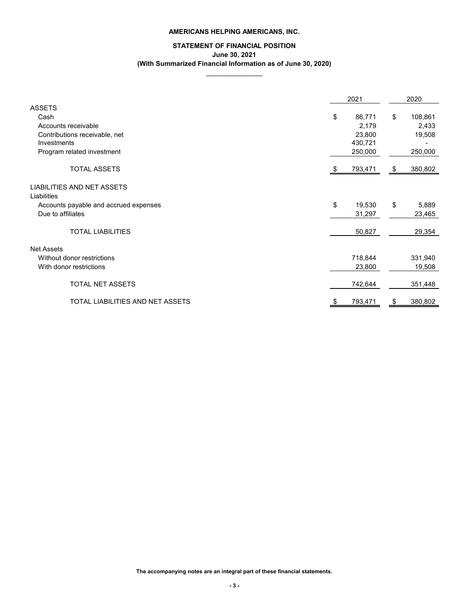# **STATEMENT OF FINANCIAL POSITION June 30, 2021 (With Summarized Financial Information as of June 30, 2020)**

 $\overline{\phantom{a}}$  , where  $\overline{\phantom{a}}$ 

|                                       |    | 2021    |               | 2020    |
|---------------------------------------|----|---------|---------------|---------|
| <b>ASSETS</b>                         |    |         |               |         |
| Cash                                  | \$ | 86,771  | \$            | 108,861 |
| Accounts receivable                   |    | 2,179   |               | 2,433   |
| Contributions receivable, net         |    | 23,800  |               | 19,508  |
| Investments                           |    | 430,721 |               |         |
| Program related investment            |    | 250,000 |               | 250,000 |
| <b>TOTAL ASSETS</b>                   |    | 793,471 | \$            | 380,802 |
| <b>LIABILITIES AND NET ASSETS</b>     |    |         |               |         |
| Liabilities                           |    |         |               |         |
| Accounts payable and accrued expenses | \$ | 19,530  | $\frac{1}{2}$ | 5,889   |
| Due to affiliates                     |    | 31,297  |               | 23,465  |
| <b>TOTAL LIABILITIES</b>              |    | 50,827  |               | 29,354  |
| <b>Net Assets</b>                     |    |         |               |         |
| Without donor restrictions            |    | 718,844 |               | 331,940 |
| With donor restrictions               |    | 23,800  |               | 19,508  |
| <b>TOTAL NET ASSETS</b>               |    | 742,644 |               | 351,448 |
| TOTAL LIABILITIES AND NET ASSETS      | P  | 793,471 | \$            | 380,802 |

**The accompanying notes are an integral part of these financial statements.**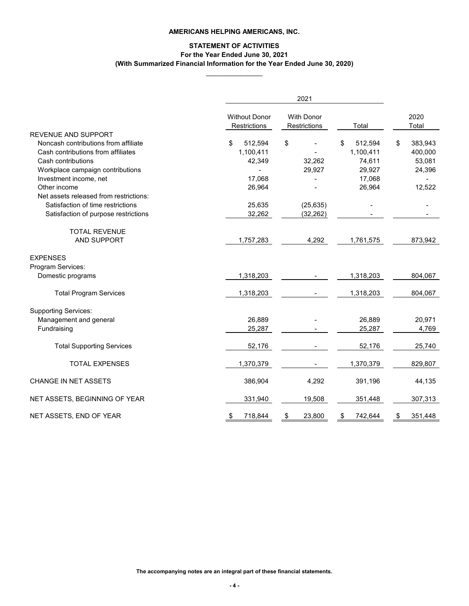# **STATEMENT OF ACTIVITIES For the Year Ended June 30, 2021 (With Summarized Financial Information for the Year Ended June 30, 2020)**

 $\overline{\phantom{a}}$  , where  $\overline{\phantom{a}}$ 

|                                        | 2021                                        |                                   |               |               |
|----------------------------------------|---------------------------------------------|-----------------------------------|---------------|---------------|
|                                        | <b>Without Donor</b><br><b>Restrictions</b> | <b>With Donor</b><br>Restrictions | Total         | 2020<br>Total |
| <b>REVENUE AND SUPPORT</b>             |                                             |                                   |               |               |
| Noncash contributions from affiliate   | \$<br>512,594                               | \$                                | 512,594<br>\$ | 383,943<br>\$ |
| Cash contributions from affiliates     | 1,100,411                                   |                                   | 1,100,411     | 400,000       |
| Cash contributions                     | 42,349                                      | 32,262                            | 74,611        | 53,081        |
| Workplace campaign contributions       |                                             | 29,927                            | 29,927        | 24,396        |
| Investment income, net                 | 17,068                                      |                                   | 17,068        |               |
| Other income                           | 26,964                                      |                                   | 26,964        | 12,522        |
| Net assets released from restrictions: |                                             |                                   |               |               |
| Satisfaction of time restrictions      | 25,635                                      | (25, 635)                         |               |               |
| Satisfaction of purpose restrictions   | 32,262                                      | (32, 262)                         |               |               |
|                                        |                                             |                                   |               |               |
| <b>TOTAL REVENUE</b>                   |                                             |                                   |               |               |
| <b>AND SUPPORT</b>                     | 1,757,283                                   | 4,292                             | 1,761,575     | 873,942       |
| <b>EXPENSES</b>                        |                                             |                                   |               |               |
|                                        |                                             |                                   |               |               |
| Program Services:                      |                                             |                                   |               |               |
| Domestic programs                      | 1,318,203                                   |                                   | 1,318,203     | 804,067       |
| <b>Total Program Services</b>          | 1,318,203                                   |                                   | 1,318,203     | 804,067       |
| <b>Supporting Services:</b>            |                                             |                                   |               |               |
| Management and general                 | 26,889                                      |                                   | 26,889        | 20,971        |
| Fundraising                            | 25,287                                      |                                   | 25,287        | 4,769         |
|                                        |                                             |                                   |               |               |
| <b>Total Supporting Services</b>       | 52,176                                      |                                   | 52,176        | 25,740        |
| <b>TOTAL EXPENSES</b>                  | 1,370,379                                   |                                   | 1,370,379     | 829,807       |
| <b>CHANGE IN NET ASSETS</b>            | 386,904                                     | 4,292                             | 391,196       | 44,135        |
| NET ASSETS, BEGINNING OF YEAR          | 331,940                                     | 19,508                            | 351,448       | 307,313       |
| NET ASSETS, END OF YEAR                | 718,844                                     | 23,800                            | 742,644       | 351,448       |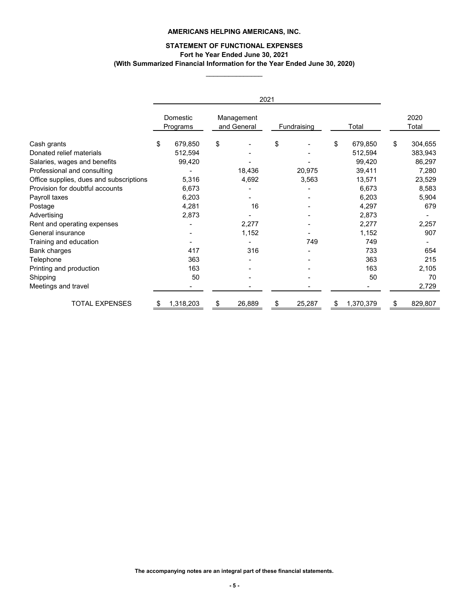# **STATEMENT OF FUNCTIONAL EXPENSES Fort he Year Ended June 30, 2021 (With Summarized Financial Information for the Year Ended June 30, 2020)**

 $\overline{\phantom{a}}$  , where  $\overline{\phantom{a}}$ 

|                                         |                      | 2021                      |              |                 |               |
|-----------------------------------------|----------------------|---------------------------|--------------|-----------------|---------------|
|                                         | Domestic<br>Programs | Management<br>and General | Fundraising  | Total           | 2020<br>Total |
| Cash grants                             | \$<br>679,850        | \$                        | \$           | \$<br>679,850   | \$<br>304,655 |
| Donated relief materials                | 512,594              |                           |              | 512,594         | 383,943       |
| Salaries, wages and benefits            | 99,420               |                           |              | 99,420          | 86,297        |
| Professional and consulting             |                      | 18,436                    | 20,975       | 39,411          | 7,280         |
| Office supplies, dues and subscriptions | 5,316                | 4,692                     | 3,563        | 13,571          | 23,529        |
| Provision for doubtful accounts         | 6,673                |                           |              | 6,673           | 8,583         |
| Payroll taxes                           | 6,203                |                           |              | 6,203           | 5,904         |
| Postage                                 | 4,281                | 16                        |              | 4,297           | 679           |
| Advertising                             | 2,873                |                           |              | 2,873           |               |
| Rent and operating expenses             |                      | 2,277                     |              | 2,277           | 2,257         |
| General insurance                       |                      | 1,152                     |              | 1,152           | 907           |
| Training and education                  |                      |                           | 749          | 749             |               |
| <b>Bank charges</b>                     | 417                  | 316                       |              | 733             | 654           |
| Telephone                               | 363                  |                           |              | 363             | 215           |
| Printing and production                 | 163                  |                           |              | 163             | 2,105         |
| Shipping                                | 50                   |                           |              | 50              | 70            |
| Meetings and travel                     |                      |                           |              |                 | 2,729         |
| <b>TOTAL EXPENSES</b>                   | 1,318,203<br>\$      | 26,889<br>\$              | 25,287<br>\$ | 1,370,379<br>\$ | \$<br>829,807 |

**The accompanying notes are an integral part of these financial statements.**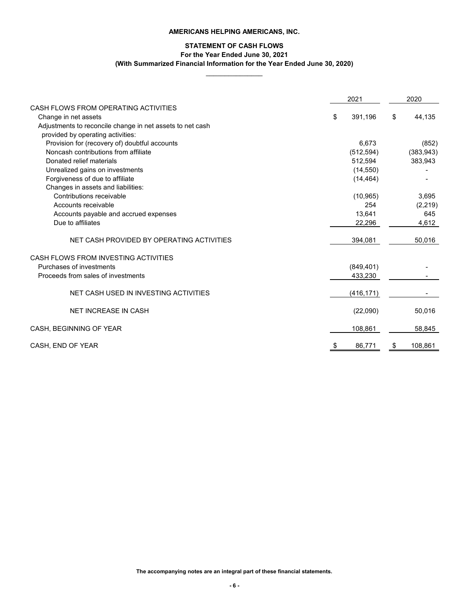# **STATEMENT OF CASH FLOWS**

# **For the Year Ended June 30, 2021**

**(With Summarized Financial Information for the Year Ended June 30, 2020)**

 $\frac{1}{2}$ 

|                                                           |           | 2021       | 2020          |
|-----------------------------------------------------------|-----------|------------|---------------|
| CASH FLOWS FROM OPERATING ACTIVITIES                      |           |            |               |
| Change in net assets                                      | \$        | 391,196    | \$<br>44,135  |
| Adjustments to reconcile change in net assets to net cash |           |            |               |
| provided by operating activities:                         |           |            |               |
| Provision for (recovery of) doubtful accounts             |           | 6,673      | (852)         |
| Noncash contributions from affiliate                      |           | (512, 594) | (383, 943)    |
| Donated relief materials                                  |           | 512,594    | 383,943       |
| Unrealized gains on investments                           |           | (14, 550)  |               |
| Forgiveness of due to affiliate                           |           | (14, 464)  |               |
| Changes in assets and liabilities:                        |           |            |               |
| Contributions receivable                                  |           | (10, 965)  | 3,695         |
| Accounts receivable                                       |           | 254        | (2, 219)      |
| Accounts payable and accrued expenses                     |           | 13,641     | 645           |
| Due to affiliates                                         |           | 22,296     | 4,612         |
| NET CASH PROVIDED BY OPERATING ACTIVITIES                 |           | 394,081    | 50,016        |
| CASH FLOWS FROM INVESTING ACTIVITIES                      |           |            |               |
| Purchases of investments                                  |           | (849, 401) |               |
| Proceeds from sales of investments                        |           | 433,230    |               |
| NET CASH USED IN INVESTING ACTIVITIES                     |           | (416, 171) |               |
| <b>NET INCREASE IN CASH</b>                               |           | (22,090)   | 50,016        |
| CASH, BEGINNING OF YEAR                                   |           | 108,861    | 58,845        |
| CASH, END OF YEAR                                         | <u>\$</u> | 86,771     | \$<br>108,861 |

**The accompanying notes are an integral part of these financial statements.**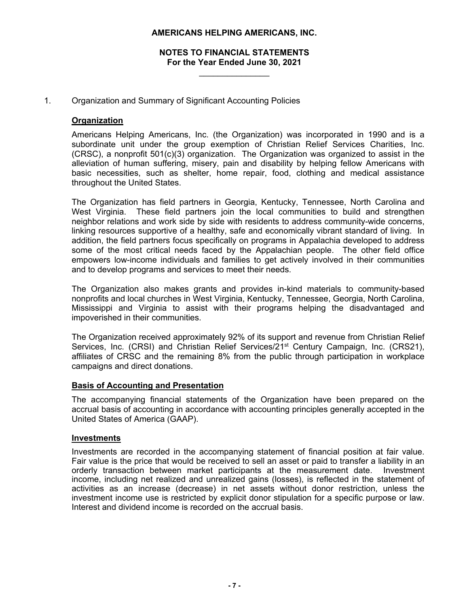### **NOTES TO FINANCIAL STATEMENTS For the Year Ended June 30, 2021**   $\frac{1}{2}$  , where  $\frac{1}{2}$  , where  $\frac{1}{2}$

### 1. Organization and Summary of Significant Accounting Policies

### **Organization**

Americans Helping Americans, Inc. (the Organization) was incorporated in 1990 and is a subordinate unit under the group exemption of Christian Relief Services Charities, Inc. (CRSC), a nonprofit 501(c)(3) organization. The Organization was organized to assist in the alleviation of human suffering, misery, pain and disability by helping fellow Americans with basic necessities, such as shelter, home repair, food, clothing and medical assistance throughout the United States.

The Organization has field partners in Georgia, Kentucky, Tennessee, North Carolina and West Virginia. These field partners join the local communities to build and strengthen neighbor relations and work side by side with residents to address community-wide concerns, linking resources supportive of a healthy, safe and economically vibrant standard of living. In addition, the field partners focus specifically on programs in Appalachia developed to address some of the most critical needs faced by the Appalachian people. The other field office empowers low-income individuals and families to get actively involved in their communities and to develop programs and services to meet their needs.

The Organization also makes grants and provides in-kind materials to community-based nonprofits and local churches in West Virginia, Kentucky, Tennessee, Georgia, North Carolina, Mississippi and Virginia to assist with their programs helping the disadvantaged and impoverished in their communities.

The Organization received approximately 92% of its support and revenue from Christian Relief Services, Inc. (CRSI) and Christian Relief Services/21<sup>st</sup> Century Campaign, Inc. (CRS21), affiliates of CRSC and the remaining 8% from the public through participation in workplace campaigns and direct donations.

#### **Basis of Accounting and Presentation**

The accompanying financial statements of the Organization have been prepared on the accrual basis of accounting in accordance with accounting principles generally accepted in the United States of America (GAAP).

#### **Investments**

Investments are recorded in the accompanying statement of financial position at fair value. Fair value is the price that would be received to sell an asset or paid to transfer a liability in an orderly transaction between market participants at the measurement date. Investment income, including net realized and unrealized gains (losses), is reflected in the statement of activities as an increase (decrease) in net assets without donor restriction, unless the investment income use is restricted by explicit donor stipulation for a specific purpose or law. Interest and dividend income is recorded on the accrual basis.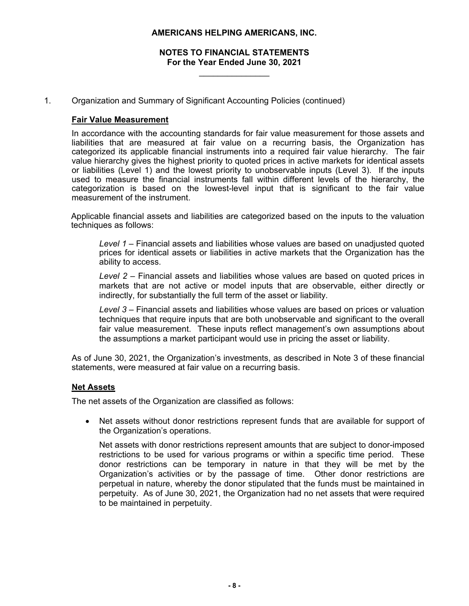# **NOTES TO FINANCIAL STATEMENTS For the Year Ended June 30, 2021**

 $\frac{1}{2}$ 

1. Organization and Summary of Significant Accounting Policies (continued)

### **Fair Value Measurement**

In accordance with the accounting standards for fair value measurement for those assets and liabilities that are measured at fair value on a recurring basis, the Organization has categorized its applicable financial instruments into a required fair value hierarchy. The fair value hierarchy gives the highest priority to quoted prices in active markets for identical assets or liabilities (Level 1) and the lowest priority to unobservable inputs (Level 3). If the inputs used to measure the financial instruments fall within different levels of the hierarchy, the categorization is based on the lowest-level input that is significant to the fair value measurement of the instrument.

Applicable financial assets and liabilities are categorized based on the inputs to the valuation techniques as follows:

*Level 1* – Financial assets and liabilities whose values are based on unadjusted quoted prices for identical assets or liabilities in active markets that the Organization has the ability to access.

*Level 2* – Financial assets and liabilities whose values are based on quoted prices in markets that are not active or model inputs that are observable, either directly or indirectly, for substantially the full term of the asset or liability.

*Level 3* – Financial assets and liabilities whose values are based on prices or valuation techniques that require inputs that are both unobservable and significant to the overall fair value measurement. These inputs reflect management's own assumptions about the assumptions a market participant would use in pricing the asset or liability.

As of June 30, 2021, the Organization's investments, as described in Note 3 of these financial statements, were measured at fair value on a recurring basis.

# **Net Assets**

The net assets of the Organization are classified as follows:

• Net assets without donor restrictions represent funds that are available for support of the Organization's operations.

Net assets with donor restrictions represent amounts that are subject to donor-imposed restrictions to be used for various programs or within a specific time period. These donor restrictions can be temporary in nature in that they will be met by the Organization's activities or by the passage of time. Other donor restrictions are perpetual in nature, whereby the donor stipulated that the funds must be maintained in perpetuity. As of June 30, 2021, the Organization had no net assets that were required to be maintained in perpetuity.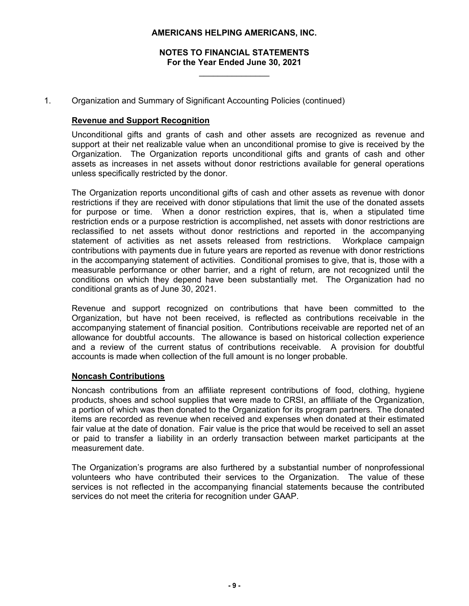# **NOTES TO FINANCIAL STATEMENTS For the Year Ended June 30, 2021**

 $\frac{1}{2}$ 

1. Organization and Summary of Significant Accounting Policies (continued)

### **Revenue and Support Recognition**

Unconditional gifts and grants of cash and other assets are recognized as revenue and support at their net realizable value when an unconditional promise to give is received by the Organization. The Organization reports unconditional gifts and grants of cash and other assets as increases in net assets without donor restrictions available for general operations unless specifically restricted by the donor.

The Organization reports unconditional gifts of cash and other assets as revenue with donor restrictions if they are received with donor stipulations that limit the use of the donated assets for purpose or time. When a donor restriction expires, that is, when a stipulated time restriction ends or a purpose restriction is accomplished, net assets with donor restrictions are reclassified to net assets without donor restrictions and reported in the accompanying statement of activities as net assets released from restrictions. Workplace campaign contributions with payments due in future years are reported as revenue with donor restrictions in the accompanying statement of activities. Conditional promises to give, that is, those with a measurable performance or other barrier, and a right of return, are not recognized until the conditions on which they depend have been substantially met. The Organization had no conditional grants as of June 30, 2021.

Revenue and support recognized on contributions that have been committed to the Organization, but have not been received, is reflected as contributions receivable in the accompanying statement of financial position. Contributions receivable are reported net of an allowance for doubtful accounts. The allowance is based on historical collection experience and a review of the current status of contributions receivable. A provision for doubtful accounts is made when collection of the full amount is no longer probable.

# **Noncash Contributions**

Noncash contributions from an affiliate represent contributions of food, clothing, hygiene products, shoes and school supplies that were made to CRSI, an affiliate of the Organization, a portion of which was then donated to the Organization for its program partners. The donated items are recorded as revenue when received and expenses when donated at their estimated fair value at the date of donation. Fair value is the price that would be received to sell an asset or paid to transfer a liability in an orderly transaction between market participants at the measurement date.

The Organization's programs are also furthered by a substantial number of nonprofessional volunteers who have contributed their services to the Organization. The value of these services is not reflected in the accompanying financial statements because the contributed services do not meet the criteria for recognition under GAAP.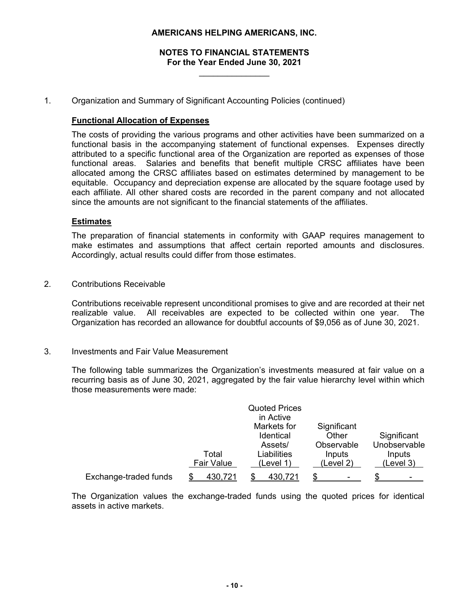# **NOTES TO FINANCIAL STATEMENTS For the Year Ended June 30, 2021**

 $\frac{1}{2}$ 

1. Organization and Summary of Significant Accounting Policies (continued)

#### **Functional Allocation of Expenses**

The costs of providing the various programs and other activities have been summarized on a functional basis in the accompanying statement of functional expenses. Expenses directly attributed to a specific functional area of the Organization are reported as expenses of those functional areas. Salaries and benefits that benefit multiple CRSC affiliates have been allocated among the CRSC affiliates based on estimates determined by management to be equitable. Occupancy and depreciation expense are allocated by the square footage used by each affiliate. All other shared costs are recorded in the parent company and not allocated since the amounts are not significant to the financial statements of the affiliates.

### **Estimates**

The preparation of financial statements in conformity with GAAP requires management to make estimates and assumptions that affect certain reported amounts and disclosures. Accordingly, actual results could differ from those estimates.

2. Contributions Receivable

Contributions receivable represent unconditional promises to give and are recorded at their net realizable value. All receivables are expected to be collected within one year. The Organization has recorded an allowance for doubtful accounts of \$9,056 as of June 30, 2021.

#### 3. Investments and Fair Value Measurement

The following table summarizes the Organization's investments measured at fair value on a recurring basis as of June 30, 2021, aggregated by the fair value hierarchy level within which those measurements were made:

|                       | Total<br><b>Fair Value</b> | <b>Quoted Prices</b><br>in Active<br>Markets for<br><b>Identical</b><br>Assets/<br>Liabilities<br>(Level 1) | Significant<br>Other<br>Observable<br>Inputs<br>(Level 2) | Significant<br>Unobservable<br>Inputs<br>(Level 3) |
|-----------------------|----------------------------|-------------------------------------------------------------------------------------------------------------|-----------------------------------------------------------|----------------------------------------------------|
| Exchange-traded funds | 430,721                    | 430.721                                                                                                     |                                                           |                                                    |

The Organization values the exchange-traded funds using the quoted prices for identical assets in active markets.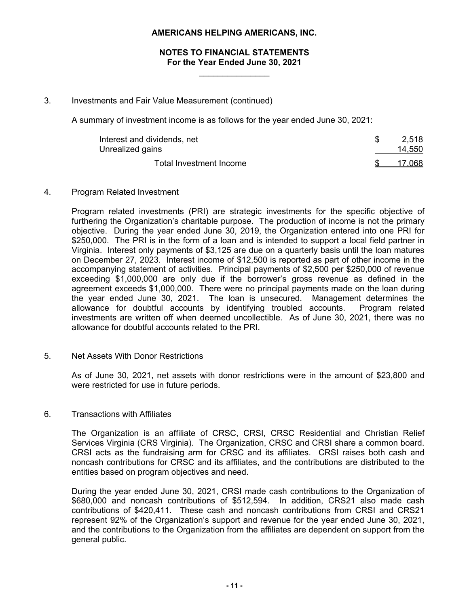# **NOTES TO FINANCIAL STATEMENTS For the Year Ended June 30, 2021**

 $\frac{1}{2}$ 

# 3. Investments and Fair Value Measurement (continued)

A summary of investment income is as follows for the year ended June 30, 2021:

| Interest and dividends, net | 2.518  |
|-----------------------------|--------|
| Unrealized gains            | 14,550 |
| Total Investment Income     | 17,068 |

#### 4. Program Related Investment

Program related investments (PRI) are strategic investments for the specific objective of furthering the Organization's charitable purpose. The production of income is not the primary objective. During the year ended June 30, 2019, the Organization entered into one PRI for \$250,000. The PRI is in the form of a loan and is intended to support a local field partner in Virginia. Interest only payments of \$3,125 are due on a quarterly basis until the loan matures on December 27, 2023. Interest income of \$12,500 is reported as part of other income in the accompanying statement of activities. Principal payments of \$2,500 per \$250,000 of revenue exceeding \$1,000,000 are only due if the borrower's gross revenue as defined in the agreement exceeds \$1,000,000. There were no principal payments made on the loan during the year ended June 30, 2021. The loan is unsecured. Management determines the allowance for doubtful accounts by identifying troubled accounts. Program related investments are written off when deemed uncollectible. As of June 30, 2021, there was no allowance for doubtful accounts related to the PRI.

#### 5. Net Assets With Donor Restrictions

As of June 30, 2021, net assets with donor restrictions were in the amount of \$23,800 and were restricted for use in future periods.

#### 6. Transactions with Affiliates

The Organization is an affiliate of CRSC, CRSI, CRSC Residential and Christian Relief Services Virginia (CRS Virginia). The Organization, CRSC and CRSI share a common board. CRSI acts as the fundraising arm for CRSC and its affiliates. CRSI raises both cash and noncash contributions for CRSC and its affiliates, and the contributions are distributed to the entities based on program objectives and need.

During the year ended June 30, 2021, CRSI made cash contributions to the Organization of \$680,000 and noncash contributions of \$512,594. In addition, CRS21 also made cash contributions of \$420,411. These cash and noncash contributions from CRSI and CRS21 represent 92% of the Organization's support and revenue for the year ended June 30, 2021, and the contributions to the Organization from the affiliates are dependent on support from the general public.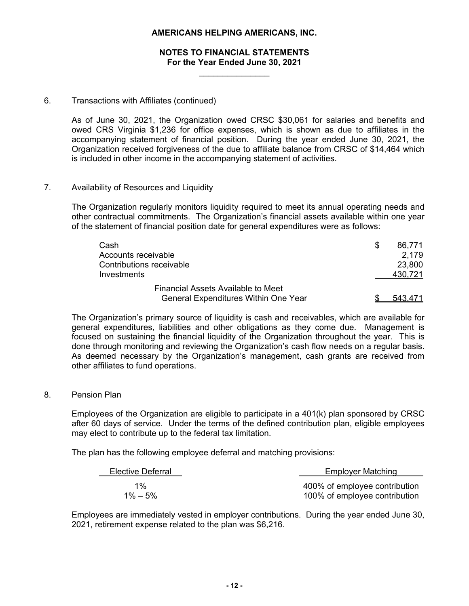### **NOTES TO FINANCIAL STATEMENTS For the Year Ended June 30, 2021**   $\frac{1}{2}$  , where  $\frac{1}{2}$  , where  $\frac{1}{2}$

### 6. Transactions with Affiliates (continued)

As of June 30, 2021, the Organization owed CRSC \$30,061 for salaries and benefits and owed CRS Virginia \$1,236 for office expenses, which is shown as due to affiliates in the accompanying statement of financial position. During the year ended June 30, 2021, the Organization received forgiveness of the due to affiliate balance from CRSC of \$14,464 which is included in other income in the accompanying statement of activities.

#### 7. Availability of Resources and Liquidity

The Organization regularly monitors liquidity required to meet its annual operating needs and other contractual commitments. The Organization's financial assets available within one year of the statement of financial position date for general expenditures were as follows:

| Cash                                        | S | 86.771  |
|---------------------------------------------|---|---------|
| Accounts receivable                         |   | 2.179   |
| Contributions receivable                    |   | 23.800  |
| Investments                                 |   | 430,721 |
| Financial Assets Available to Meet          |   |         |
| <b>General Expenditures Within One Year</b> |   | 543.471 |

The Organization's primary source of liquidity is cash and receivables, which are available for general expenditures, liabilities and other obligations as they come due. Management is focused on sustaining the financial liquidity of the Organization throughout the year. This is done through monitoring and reviewing the Organization's cash flow needs on a regular basis. As deemed necessary by the Organization's management, cash grants are received from other affiliates to fund operations.

#### 8. Pension Plan

Employees of the Organization are eligible to participate in a 401(k) plan sponsored by CRSC after 60 days of service. Under the terms of the defined contribution plan, eligible employees may elect to contribute up to the federal tax limitation.

The plan has the following employee deferral and matching provisions:

| Elective Deferral | Employer Matching             |
|-------------------|-------------------------------|
| $1\%$             | 400% of employee contribution |
| $1\% - 5\%$       | 100% of employee contribution |

Employees are immediately vested in employer contributions. During the year ended June 30, 2021, retirement expense related to the plan was \$6,216.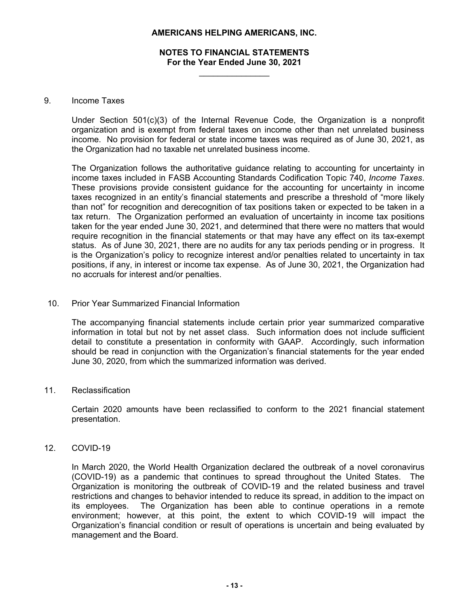# **NOTES TO FINANCIAL STATEMENTS For the Year Ended June 30, 2021**

 $\frac{1}{2}$ 

#### 9. Income Taxes

Under Section 501(c)(3) of the Internal Revenue Code, the Organization is a nonprofit organization and is exempt from federal taxes on income other than net unrelated business income. No provision for federal or state income taxes was required as of June 30, 2021, as the Organization had no taxable net unrelated business income.

The Organization follows the authoritative guidance relating to accounting for uncertainty in income taxes included in FASB Accounting Standards Codification Topic 740, *Income Taxes*. These provisions provide consistent guidance for the accounting for uncertainty in income taxes recognized in an entity's financial statements and prescribe a threshold of "more likely than not" for recognition and derecognition of tax positions taken or expected to be taken in a tax return. The Organization performed an evaluation of uncertainty in income tax positions taken for the year ended June 30, 2021, and determined that there were no matters that would require recognition in the financial statements or that may have any effect on its tax-exempt status. As of June 30, 2021, there are no audits for any tax periods pending or in progress. It is the Organization's policy to recognize interest and/or penalties related to uncertainty in tax positions, if any, in interest or income tax expense. As of June 30, 2021, the Organization had no accruals for interest and/or penalties.

#### 10. Prior Year Summarized Financial Information

The accompanying financial statements include certain prior year summarized comparative information in total but not by net asset class. Such information does not include sufficient detail to constitute a presentation in conformity with GAAP. Accordingly, such information should be read in conjunction with the Organization's financial statements for the year ended June 30, 2020, from which the summarized information was derived.

#### 11. Reclassification

Certain 2020 amounts have been reclassified to conform to the 2021 financial statement presentation.

#### 12. COVID-19

In March 2020, the World Health Organization declared the outbreak of a novel coronavirus (COVID-19) as a pandemic that continues to spread throughout the United States. The Organization is monitoring the outbreak of COVID-19 and the related business and travel restrictions and changes to behavior intended to reduce its spread, in addition to the impact on its employees. The Organization has been able to continue operations in a remote environment; however, at this point, the extent to which COVID-19 will impact the Organization's financial condition or result of operations is uncertain and being evaluated by management and the Board.